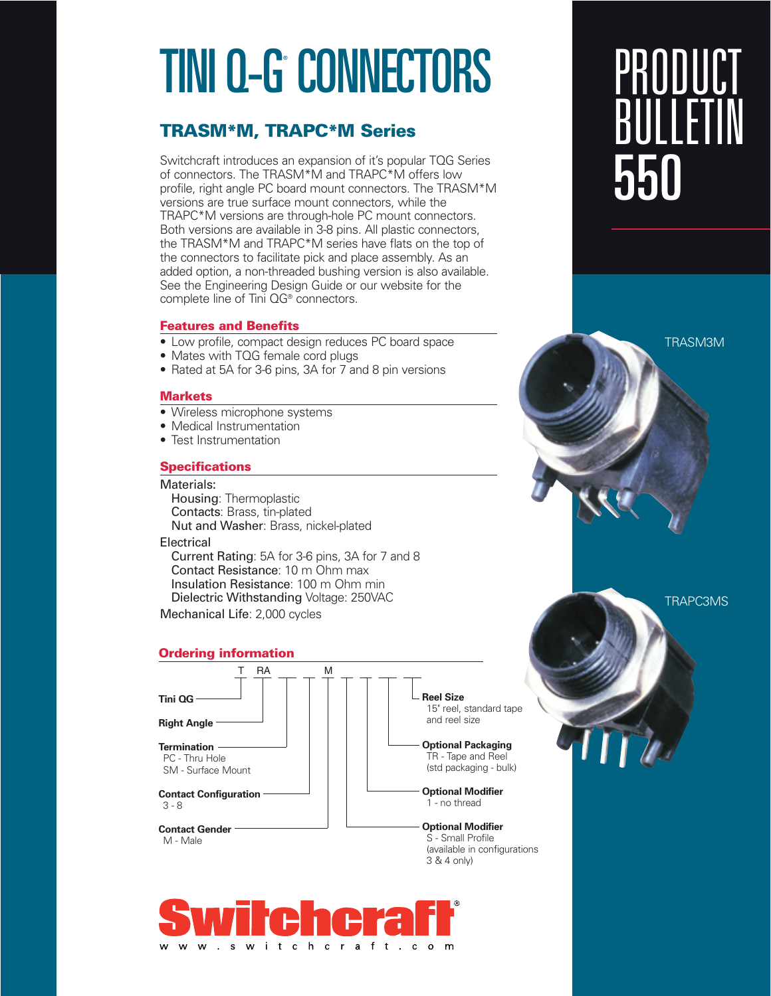# TINI Q-G° CONNECTORS

### **TRASM\*M, TRAPC\*M Series**

Switchcraft introduces an expansion of it's popular TQG Series of connectors. The TRASM\*M and TRAPC\*M offers low profile, right angle PC board mount connectors. The TRASM\*M versions are true surface mount connectors, while the TRAPC\*M versions are through-hole PC mount connectors. Both versions are available in 3-8 pins. All plastic connectors, the TRASM\*M and TRAPC\*M series have flats on the top of the connectors to facilitate pick and place assembly. As an added option, a non-threaded bushing version is also available. See the Engineering Design Guide or our website for the complete line of Tini QG® connectors.

#### **Features and Benefits**

- Low profile, compact design reduces PC board space
- Mates with TQG female cord plugs
- Rated at 5A for 3-6 pins, 3A for 7 and 8 pin versions

#### **Markets**

- Wireless microphone systems
- Medical Instrumentation
- Test Instrumentation

#### **Specifications**

#### Materials:

Housing: Thermoplastic Contacts: Brass, tin-plated Nut and Washer: Brass, nickel-plated

#### **Electrical**

Current Rating: 5A for 3-6 pins, 3A for 7 and 8 Contact Resistance: 10 m Ohm max Insulation Resistance: 100 m Ohm min Dielectric Withstanding Voltage: 250VAC Mechanical Life: 2,000 cycles

#### **Ordering information**





# PRODUCT BULLETIN 550

TRASM3M

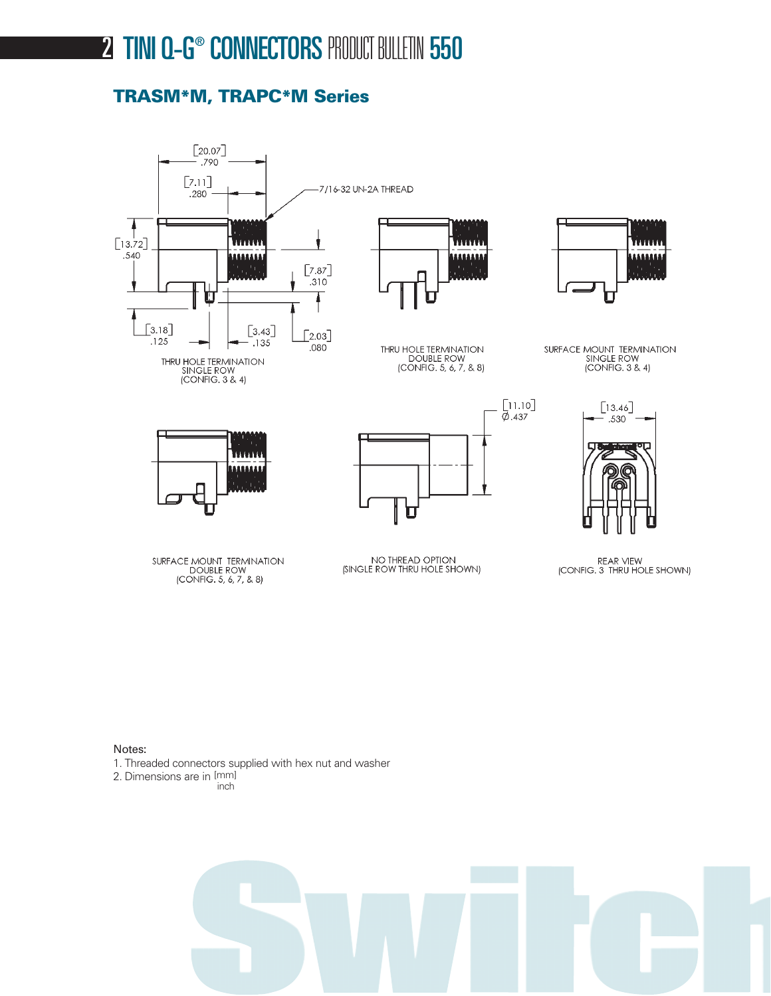## **2 TINI Q-G® CONNECTORS PRODUCT BULLETIN 550**

### **TRASM\*M, TRAPC\*M Series**



Notes:

- 1. Threaded connectors supplied with hex nut and washer
- 2. Dimensions are in [mm]

inch

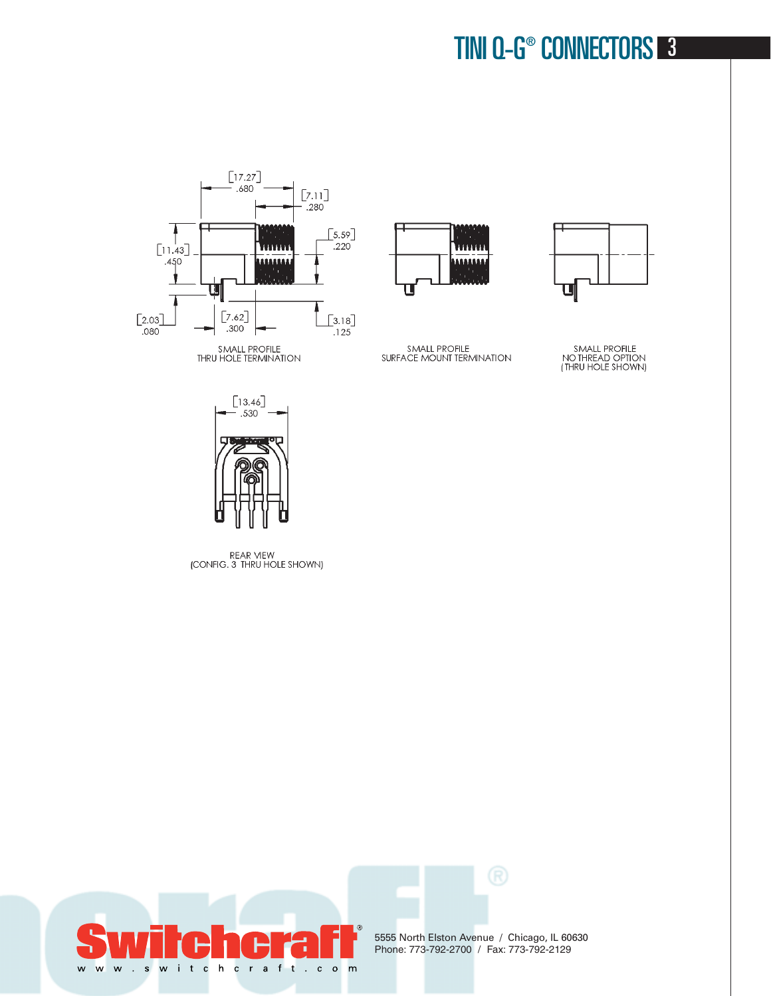## TINI Q-G® CONNECTORS 3





SMALL PROFILE<br>SURFACE MOUNT TERMINATION



SMALL PROFILE<br>NO THREAD OPTION<br>(THRU HOLE SHOWN)



REAR VIEW<br>(CONFIG. 3 THRU HOLE SHOWN)



5555 North Elston Avenue / Chicago, IL 60630 Phone: 773-792-2700 / Fax: 773-792-2129